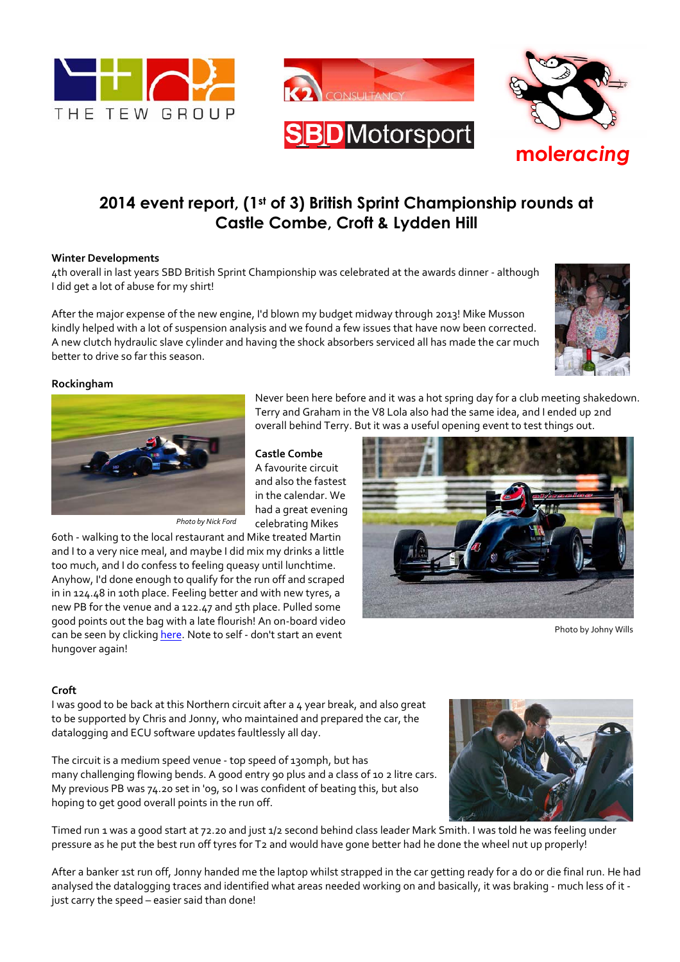



# **2014 event report, (1st of 3) British Sprint Championship rounds at Castle Combe, Croft & Lydden Hill**

## **Winter Developments**

4th overall in last years SBD British Sprint Championship was celebrated at the awards dinner - although I did get a lot of abuse for my shirt!

After the major expense of the new engine, I'd blown my budget midway through 2013! Mike Musson kindly helped with a lot of suspension analysis and we found a few issues that have now been corrected. A new clutch hydraulic slave cylinder and having the shock absorbers serviced all has made the car much better to drive so far this season.



### **Rockingham**



*Photo by Nick Ford*

60th - walking to the local restaurant and Mike treated Martin and I to a very nice meal, and maybe I did mix my drinks a little too much, and I do confess to feeling queasy until lunchtime. Anyhow, I'd done enough to qualify for the run off and scraped in in 124.48 in 10th place. Feeling better and with new tyres, a new PB for the venue and a 122.47 and 5th place. Pulled some good points out the bag with a late flourish! An on-board video can be seen by clicking here. Note to self - don't start an event hungover again!

Never been here before and it was a hot spring day for a club meeting shakedown. Terry and Graham in the V8 Lola also had the same idea, and I ended up 2nd overall behind Terry. But it was a useful opening event to test things out.

## **Castle Combe**

A favourite circuit and also the fastest in the calendar. We had a great evening celebrating Mikes



Photo by Johny Wills

### **Croft**

I was good to be back at this Northern circuit after a 4 year break, and also great to be supported by Chris and Jonny, who maintained and prepared the car, the datalogging and ECU software updates faultlessly all day.

The circuit is a medium speed venue - top speed of 130mph, but has many challenging flowing bends. A good entry 90 plus and a class of 10 2 litre cars. My previous PB was 74.20 set in '09, so I was confident of beating this, but also hoping to get good overall points in the run off.

Timed run 1 was a good start at 72.20 and just 1/2 second behind class leader Mark Smith. I was told he was feeling under pressure as he put the best run off tyres for T2 and would have gone better had he done the wheel nut up properly!

After a banker 1st run off, Jonny handed me the laptop whilst strapped in the car getting ready for a do or die final run. He had analysed the datalogging traces and identified what areas needed working on and basically, it was braking - much less of it just carry the speed – easier said than done!